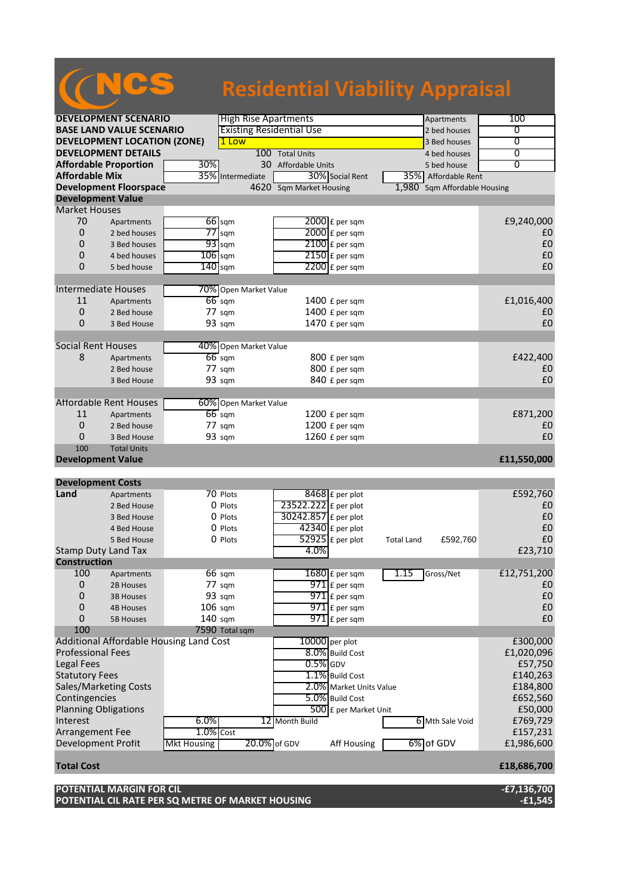## NCS **Residential Viability Appraisal**

| <b>DEVELOPMENT SCENARIO</b>     |                                         |                    | <b>High Rise Apartments</b>                             |                      |                          |                   | Apartments          | 100            |
|---------------------------------|-----------------------------------------|--------------------|---------------------------------------------------------|----------------------|--------------------------|-------------------|---------------------|----------------|
| <b>BASE LAND VALUE SCENARIO</b> |                                         |                    | <b>Existing Residential Use</b>                         |                      |                          |                   | 2 bed houses        | 0              |
|                                 | <b>DEVELOPMENT LOCATION (ZONE)</b>      |                    | 1 Low                                                   |                      |                          |                   | 3 Bed houses        | $\overline{0}$ |
|                                 | <b>DEVELOPMENT DETAILS</b>              |                    |                                                         | 100 Total Units      |                          |                   | 4 bed houses        | $\overline{0}$ |
| <b>Affordable Proportion</b>    |                                         | 30%                | 30 Affordable Units                                     |                      |                          |                   | 5 bed house         | $\overline{0}$ |
| <b>Affordable Mix</b>           |                                         |                    | 35% Intermediate                                        |                      | 30% Social Rent          |                   | 35% Affordable Rent |                |
|                                 | <b>Development Floorspace</b>           |                    | 4620 Sqm Market Housing<br>1,980 Sqm Affordable Housing |                      |                          |                   |                     |                |
| <b>Development Value</b>        |                                         |                    |                                                         |                      |                          |                   |                     |                |
| <b>Market Houses</b>            |                                         |                    |                                                         |                      |                          |                   |                     |                |
| 70                              | Apartments                              |                    | $66$ sqm                                                |                      | $2000$ £ per sqm         |                   |                     | £9,240,000     |
| 0                               | 2 bed houses                            | 77                 | sqm                                                     |                      | 2000 £ per sqm           |                   |                     | £0             |
| 0                               | 3 Bed houses                            |                    | $93$ sqm                                                |                      | $2100$ £ per sqm         |                   |                     | £0             |
| 0                               | 4 bed houses                            | $106$ sqm          |                                                         |                      | $2150$ £ per sqm         |                   |                     | £0             |
| 0                               | 5 bed house                             | 140                | sqm                                                     |                      | $2200$ £ per sqm         |                   |                     | £0             |
|                                 |                                         |                    |                                                         |                      |                          |                   |                     |                |
| <b>Intermediate Houses</b>      |                                         |                    | 70% Open Market Value                                   |                      |                          |                   |                     |                |
| 11                              | Apartments                              |                    | $66$ sqm                                                |                      | 1400 £ per sqm           |                   |                     | £1,016,400     |
| 0                               | 2 Bed house                             |                    | 77 sqm                                                  |                      | 1400 £ per sqm           |                   |                     | £0             |
| 0                               | 3 Bed House                             |                    | 93 sqm                                                  |                      | 1470 £ per sqm           |                   |                     | £0             |
|                                 |                                         |                    |                                                         |                      |                          |                   |                     |                |
| <b>Social Rent Houses</b>       |                                         |                    | 40% Open Market Value                                   |                      |                          |                   |                     |                |
| 8                               | Apartments                              |                    | $66 \text{ sqm}$                                        |                      | 800 £ per sqm            |                   |                     | £422,400       |
|                                 | 2 Bed house                             |                    | 77 sqm                                                  |                      | 800 £ per sqm            |                   |                     | £0             |
|                                 | 3 Bed House                             |                    | 93 sqm                                                  |                      | 840 £ per sqm            |                   |                     | £0             |
|                                 |                                         |                    |                                                         |                      |                          |                   |                     |                |
|                                 | <b>Affordable Rent Houses</b>           |                    | 60% Open Market Value                                   |                      |                          |                   |                     |                |
| 11                              | Apartments                              |                    | $66$ sqm                                                |                      | $1200$ £ per sqm         |                   |                     | £871,200       |
| 0                               | 2 Bed house                             |                    | 77 sqm                                                  |                      | 1200 £ per sqm           |                   |                     | £0             |
| 0                               |                                         |                    | 93 sqm                                                  |                      | 1260 £ per sqm           |                   |                     | £0             |
|                                 | 3 Bed House                             |                    |                                                         |                      |                          |                   |                     |                |
| 100<br><b>Total Units</b>       |                                         |                    |                                                         |                      |                          |                   |                     |                |
|                                 |                                         |                    |                                                         |                      |                          |                   |                     |                |
| <b>Development Value</b>        |                                         |                    |                                                         |                      |                          |                   |                     | £11,550,000    |
|                                 |                                         |                    |                                                         |                      |                          |                   |                     |                |
| <b>Development Costs</b>        |                                         |                    |                                                         |                      |                          |                   |                     |                |
| Land                            | Apartments                              |                    | 70 Plots                                                |                      | 8468 £ per plot          |                   |                     | £592,760       |
|                                 | 2 Bed House                             |                    | 0 Plots                                                 | 23522.222 £ per plot |                          |                   |                     | £0             |
|                                 | 3 Bed House                             |                    | 0 Plots                                                 | 30242.857 £ per plot |                          |                   |                     | £0             |
|                                 | 4 Bed House                             |                    | 0 Plots                                                 |                      | $42340$ £ per plot       |                   |                     | £0             |
|                                 | 5 Bed House                             |                    | 0 Plots                                                 |                      | 52925 £ per plot         | <b>Total Land</b> | £592,760            | £0             |
| <b>Stamp Duty Land Tax</b>      |                                         |                    |                                                         | 4.0%                 |                          |                   |                     | £23,710        |
| <b>Construction</b>             |                                         |                    |                                                         |                      |                          |                   |                     |                |
| 100                             | Apartments                              |                    | 66 sqm                                                  |                      | $1680 \text{ f}$ per sqm | 1.15              | Gross/Net           | £12,751,200    |
| 0                               | 2B Houses                               |                    | 77 sqm                                                  |                      | 971 £ per sqm            |                   |                     | £0             |
| 0                               | <b>3B Houses</b>                        |                    | 93 sqm                                                  |                      | $971$ E per sqm          |                   |                     | £0             |
| 0                               | <b>4B Houses</b>                        | $106$ sqm          |                                                         |                      | $971$ E per sqm          |                   |                     | £0             |
| 0                               | <b>5B Houses</b>                        | 140 sqm            |                                                         |                      | $971$ $E$ per sqm        |                   |                     | £0             |
| 100                             |                                         |                    | 7590 Total sqm                                          |                      |                          |                   |                     |                |
|                                 | Additional Affordable Housing Land Cost |                    |                                                         |                      | 10000 per plot           |                   |                     | £300,000       |
| <b>Professional Fees</b>        |                                         |                    |                                                         |                      | 8.0% Build Cost          |                   |                     | £1,020,096     |
| <b>Legal Fees</b>               |                                         |                    |                                                         | $0.5\%$ GDV          |                          |                   |                     | £57,750        |
| <b>Statutory Fees</b>           |                                         |                    |                                                         |                      | 1.1% Build Cost          |                   |                     | £140,263       |
|                                 | <b>Sales/Marketing Costs</b>            |                    |                                                         |                      | 2.0% Market Units Value  |                   |                     | £184,800       |
| Contingencies                   |                                         |                    |                                                         |                      | 5.0% Build Cost          |                   |                     | £652,560       |
| <b>Planning Obligations</b>     |                                         |                    |                                                         |                      | 500 £ per Market Unit    |                   |                     | £50,000        |
| Interest                        |                                         | 6.0%               |                                                         | 12 Month Build       |                          |                   | 6 Mth Sale Void     | £769,729       |
| Arrangement Fee                 |                                         | $1.0\%$ Cost       |                                                         |                      |                          |                   |                     | £157,231       |
| Development Profit              |                                         | <b>Mkt Housing</b> | 20.0% of GDV                                            |                      | Aff Housing              |                   | $6\%$ of GDV        | £1,986,600     |
|                                 |                                         |                    |                                                         |                      |                          |                   |                     |                |
| <b>Total Cost</b>               |                                         |                    |                                                         |                      |                          |                   |                     | £18,686,700    |

**POTENTIAL MARGIN FOR CIL -£7,136,700 POTENTIAL CIL RATE PER SQ METRE OF MARKET HOUSING -£1,545**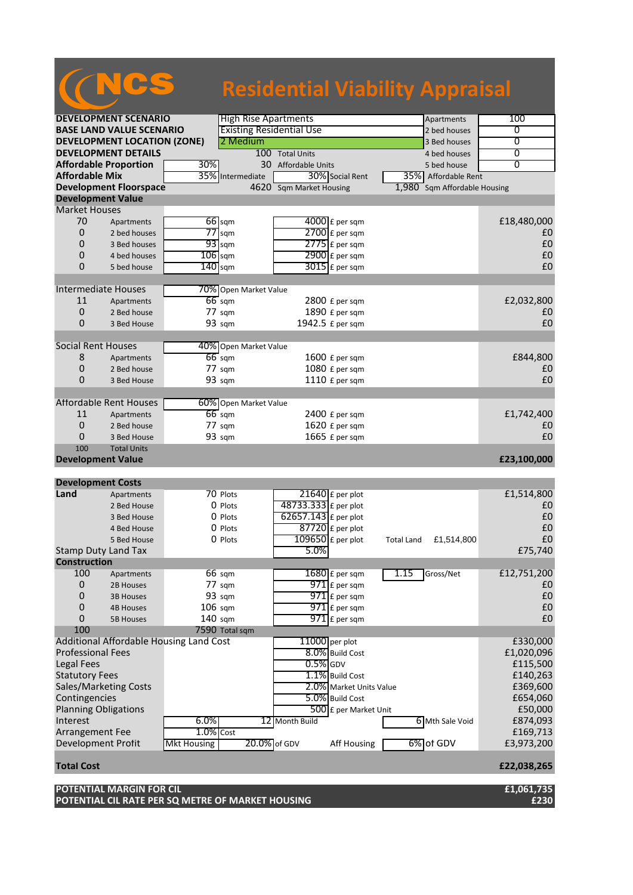|                                     |                                         |           |                                 |                                              | <b>Residential Viability Appraisal</b> |                   |
|-------------------------------------|-----------------------------------------|-----------|---------------------------------|----------------------------------------------|----------------------------------------|-------------------|
|                                     |                                         |           |                                 |                                              |                                        |                   |
|                                     | <b>DEVELOPMENT SCENARIO</b>             |           | <b>High Rise Apartments</b>     |                                              | Apartments                             | 100               |
| <b>BASE LAND VALUE SCENARIO</b>     |                                         |           | <b>Existing Residential Use</b> |                                              | 2 bed houses                           | 0                 |
| <b>DEVELOPMENT LOCATION (ZONE)</b>  |                                         |           | 2 Medium                        |                                              | 3 Bed houses                           | $\overline{0}$    |
| <b>DEVELOPMENT DETAILS</b>          |                                         |           |                                 | 100 Total Units                              | 4 bed houses                           | 0                 |
| <b>Affordable Proportion</b><br>30% |                                         |           |                                 | 30 Affordable Units                          | 5 bed house                            | $\overline{0}$    |
| <b>Affordable Mix</b><br>35%        |                                         |           | Intermediate                    | 30% Social Rent                              | 35% Affordable Rent                    |                   |
|                                     | <b>Development Floorspace</b>           |           |                                 | 4620 Sqm Market Housing                      | Sqm Affordable Housing<br>1,980        |                   |
| <b>Development Value</b>            |                                         |           |                                 |                                              |                                        |                   |
| <b>Market Houses</b>                |                                         |           |                                 |                                              |                                        |                   |
| 70                                  | Apartments                              |           | $66$ sqm                        | $4000$ £ per sqm                             |                                        | £18,480,000       |
| 0<br>0                              | 2 bed houses<br>3 Bed houses            |           | $77$ sqm<br>$93$ sqm            | $2700$ $E$ per sqm<br>$2775$ $E$ per sqm     |                                        | £0<br>£0          |
| 0                                   | 4 bed houses                            | $106$ sqm |                                 |                                              |                                        | £0                |
| $\Omega$                            | 5 bed house                             | $140$ sqm |                                 | $2900 \text{ f}$ per sqm<br>$3015$ £ per sqm |                                        | £0                |
|                                     |                                         |           |                                 |                                              |                                        |                   |
| <b>Intermediate Houses</b>          |                                         |           | 70% Open Market Value           |                                              |                                        |                   |
| 11                                  | Apartments                              |           | $66$ sqm                        | 2800 £ per sqm                               |                                        | £2,032,800        |
| 0                                   | 2 Bed house                             |           | 77 sqm                          | 1890 £ per sqm                               |                                        | £0                |
| 0                                   | 3 Bed House                             |           | 93 sqm                          | 1942.5 £ per sqm                             |                                        | £0                |
|                                     |                                         |           |                                 |                                              |                                        |                   |
| <b>Social Rent Houses</b>           |                                         |           | 40% Open Market Value           |                                              |                                        |                   |
| 8                                   | Apartments                              |           | $66$ sqm                        | 1600 £ per sqm                               |                                        | £844,800          |
| 0                                   | 2 Bed house                             |           | 77 sqm                          | 1080 £ per sqm                               |                                        | £0                |
| 0                                   | 3 Bed House                             |           | 93 sqm                          | 1110 £ per sqm                               |                                        | £0                |
|                                     |                                         |           |                                 |                                              |                                        |                   |
|                                     | <b>Affordable Rent Houses</b>           |           | 60% Open Market Value           |                                              |                                        |                   |
| 11                                  | Apartments                              |           | $66$ sqm                        | 2400 £ per sqm                               |                                        | £1,742,400        |
| $\mathbf{0}$                        | 2 Bed house                             |           | $77 \text{ sqm}$                | 1620 £ per sqm                               |                                        | £0                |
| 0                                   | 3 Bed House                             |           | 93 sqm                          | 1665 £ per sqm                               |                                        | £0                |
| 100<br><b>Development Value</b>     | <b>Total Units</b>                      |           |                                 |                                              |                                        |                   |
|                                     |                                         |           |                                 |                                              |                                        | £23,100,000       |
| <b>Development Costs</b>            |                                         |           |                                 |                                              |                                        |                   |
| Land                                | Apartments                              |           | 70 Plots                        | $21640$ £ per plot                           |                                        | £1,514,800        |
|                                     | 2 Bed House                             |           | 0 Plots                         | 48733.333 £ per plot                         |                                        | £0                |
|                                     | 3 Bed House                             |           | 0 Plots                         | $62657.143$ £ per plot                       |                                        | £0                |
|                                     | 4 Bed House                             |           | 0 Plots                         | $87720$ £ per plot                           |                                        | £0                |
|                                     | 5 Bed House                             |           | 0 Plots                         | $109650$ £ per plot                          | <b>Total Land</b><br>£1,514,800        | $\pmb{\text{f0}}$ |
|                                     | <b>Stamp Duty Land Tax</b>              |           |                                 | 5.0%                                         |                                        | £75,740           |
| <b>Construction</b>                 |                                         |           |                                 |                                              |                                        |                   |
| 100                                 | Apartments                              |           | 66 sqm                          | $1680$ £ per sqm                             | 1.15<br>Gross/Net                      | £12,751,200       |
| 0                                   | 2B Houses                               |           | 77 sqm                          | $971$ $E$ per sqm                            |                                        | £0                |
| 0                                   | <b>3B Houses</b>                        |           | 93 sqm                          | $971$ $E$ per sqm                            |                                        | £0                |
| $\mathbf 0$                         | <b>4B Houses</b>                        | $106$ sqm |                                 | $971$ £ per sqm                              |                                        | £0                |
| 0                                   | <b>5B Houses</b>                        | 140 sqm   |                                 | $971$ $E$ per sqm                            |                                        | £0                |
| 100                                 |                                         |           | 7590 Total sqm                  |                                              |                                        |                   |
|                                     | Additional Affordable Housing Land Cost |           |                                 | 11000 per plot                               |                                        | £330,000          |
| <b>Professional Fees</b>            |                                         |           |                                 | 8.0% Build Cost<br>$0.5\%$ GDV               |                                        | £1,020,096        |
| <b>Legal Fees</b>                   |                                         |           |                                 |                                              |                                        | £115,500          |

Statutory Fees E140,263<br>
Sales/Marketing Costs **2.0%** Market Units Value E369,600 Sales/Marketing Costs **2.0%** Market Units Value **1999,600** Contingencies **2.0% Market Units Value E369,600** Contingencies **2.0%** Build Cost **2.0%** Build Cost **2.0%** Contingencies 654,060 Contingencies 1654,060 Contingencies 1654,060 Contingencies 2011 Cost 2012 Conting Colli<br>
250,000 Experiment 1650,000 Continuity 1650,000 Continuity 1650,000 Continuity 1650,000 Continuity 1650,000 C

Arrangement Fee 1.0% Cost 1.0% Cost 1.0% Cost E169,713<br>Development Profit Mkt Housing 20.0% of GDV Aff Housing 6% of GDV E3,973,200

6.0% 12 Month Build 6 Mth Sale Void £874,093<br>1.0% Cost £169,713

**Total Cost £22,038,265 POTENTIAL MARGIN FOR CIL £1,061,735 POTENTIAL CIL RATE PER SQ METRE OF MARKET HOUSING £230**

Planning Obligations  $\overline{500}$  £ per Market Unit Electric 12 Month Build

Development Profit